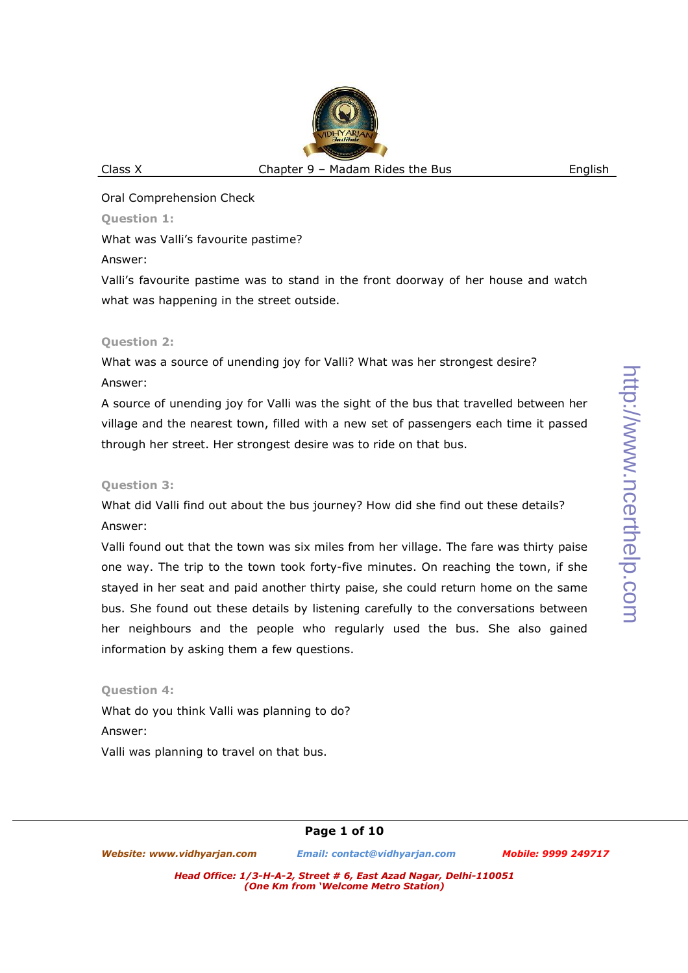Oral Comprehension Check

**Question 1:** 

What was Valli's favourite pastime?

Answer:

Valli's favourite pastime was to stand in the front doorway of her house and watch what was happening in the street outside.

## **Question 2:**

What was a source of unending joy for Valli? What was her strongest desire? Answer:

A source of unending joy for Valli was the sight of the bus that travelled between her village and the nearest town, filled with a new set of passengers each time it passed through her street. Her strongest desire was to ride on that bus.

# **Question 3:**

What did Valli find out about the bus journey? How did she find out these details? Answer:

Valli found out that the town was six miles from her village. The fare was thirty paise one way. The trip to the town took forty-five minutes. On reaching the town, if she stayed in her seat and paid another thirty paise, she could return home on the same bus. She found out these details by listening carefully to the conversations between her neighbours and the people who regularly used the bus. She also gained information by asking them a few questions.

# **Question 4:**

What do you think Valli was planning to do? Answer: Valli was planning to travel on that bus.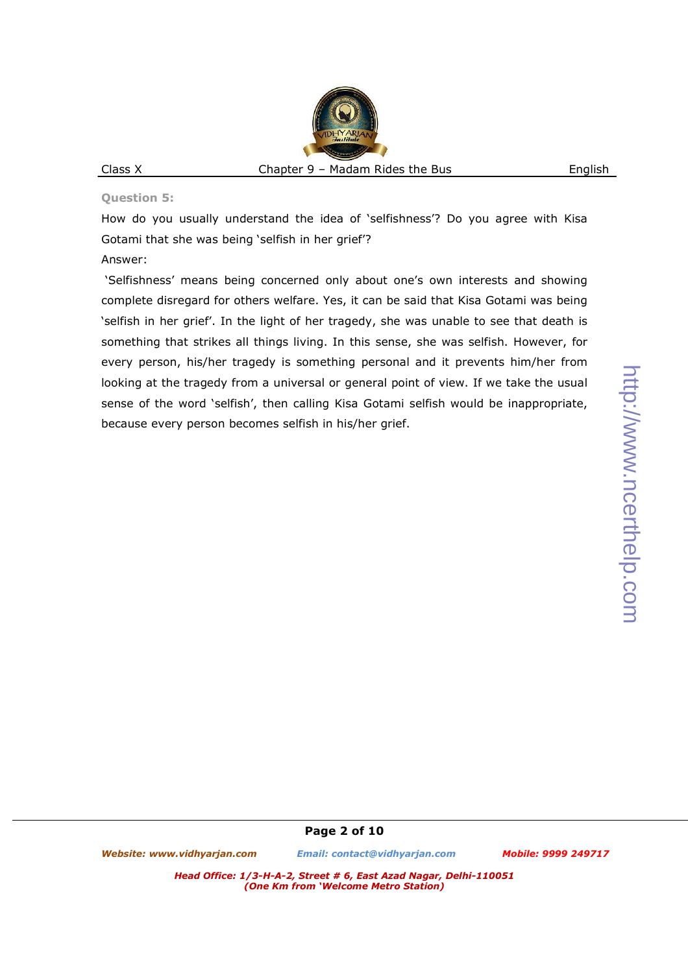# http://www.ncerthelp.com http://www.ncerthelp.com

## **Question 5:**

How do you usually understand the idea of 'selfishness'? Do you agree with Kisa Gotami that she was being 'selfish in her grief'?

## Answer:

 'Selfishness' means being concerned only about one's own interests and showing complete disregard for others welfare. Yes, it can be said that Kisa Gotami was being 'selfish in her grief'. In the light of her tragedy, she was unable to see that death is something that strikes all things living. In this sense, she was selfish. However, for every person, his/her tragedy is something personal and it prevents him/her from looking at the tragedy from a universal or general point of view. If we take the usual sense of the word 'selfish', then calling Kisa Gotami selfish would be inappropriate, because every person becomes selfish in his/her grief.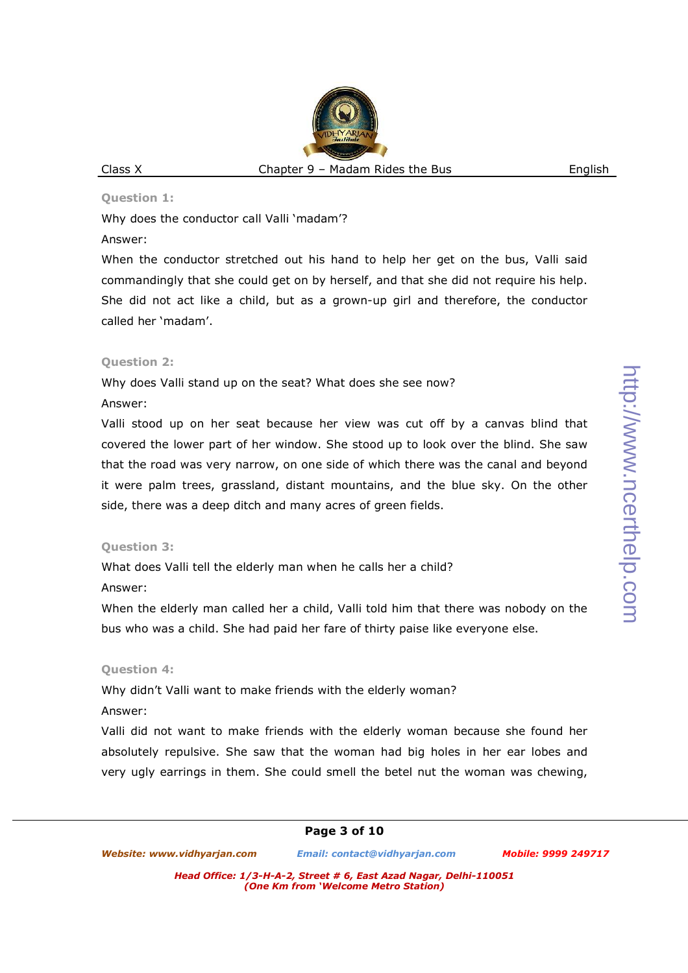#### **Question 1:**

Why does the conductor call Valli 'madam'?

## Answer:

When the conductor stretched out his hand to help her get on the bus, Valli said commandingly that she could get on by herself, and that she did not require his help. She did not act like a child, but as a grown-up girl and therefore, the conductor called her 'madam'.

## **Question 2:**

Why does Valli stand up on the seat? What does she see now?

## Answer:

Valli stood up on her seat because her view was cut off by a canvas blind that covered the lower part of her window. She stood up to look over the blind. She saw that the road was very narrow, on one side of which there was the canal and beyond it were palm trees, grassland, distant mountains, and the blue sky. On the other side, there was a deep ditch and many acres of green fields.

## **Question 3:**

What does Valli tell the elderly man when he calls her a child? Answer:

When the elderly man called her a child, Valli told him that there was nobody on the bus who was a child. She had paid her fare of thirty paise like everyone else.

## **Question 4:**

Why didn't Valli want to make friends with the elderly woman? Answer:

Valli did not want to make friends with the elderly woman because she found her absolutely repulsive. She saw that the woman had big holes in her ear lobes and very ugly earrings in them. She could smell the betel nut the woman was chewing,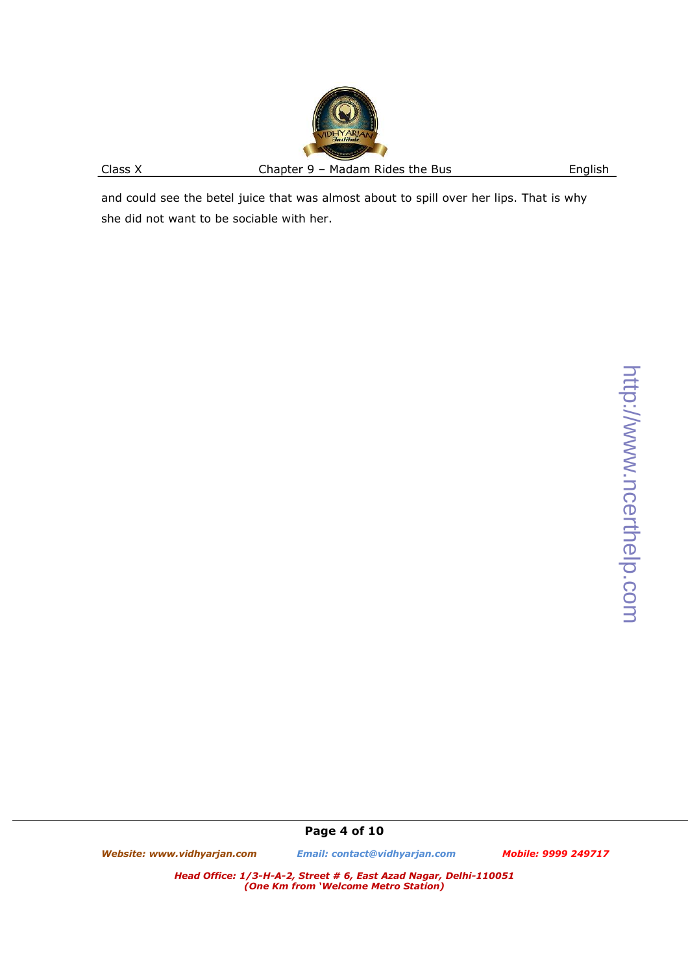and could see the betel juice that was almost about to spill over her lips. That is why she did not want to be sociable with her.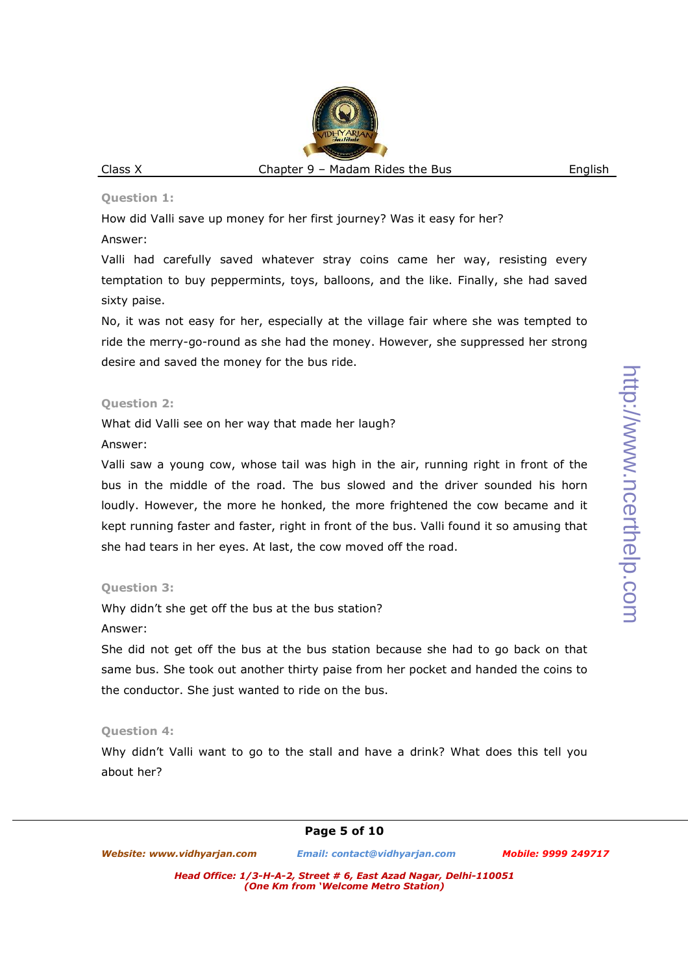#### **Question 1:**

How did Valli save up money for her first journey? Was it easy for her? Answer:

Valli had carefully saved whatever stray coins came her way, resisting every temptation to buy peppermints, toys, balloons, and the like. Finally, she had saved sixty paise.

No, it was not easy for her, especially at the village fair where she was tempted to ride the merry-go-round as she had the money. However, she suppressed her strong desire and saved the money for the bus ride.

#### **Question 2:**

What did Valli see on her way that made her laugh?

#### Answer:

Valli saw a young cow, whose tail was high in the air, running right in front of the bus in the middle of the road. The bus slowed and the driver sounded his horn loudly. However, the more he honked, the more frightened the cow became and it kept running faster and faster, right in front of the bus. Valli found it so amusing that she had tears in her eyes. At last, the cow moved off the road.

## **Question 3:**

Why didn't she get off the bus at the bus station?

Answer:

She did not get off the bus at the bus station because she had to go back on that same bus. She took out another thirty paise from her pocket and handed the coins to the conductor. She just wanted to ride on the bus.

## **Question 4:**

Why didn't Valli want to go to the stall and have a drink? What does this tell you about her?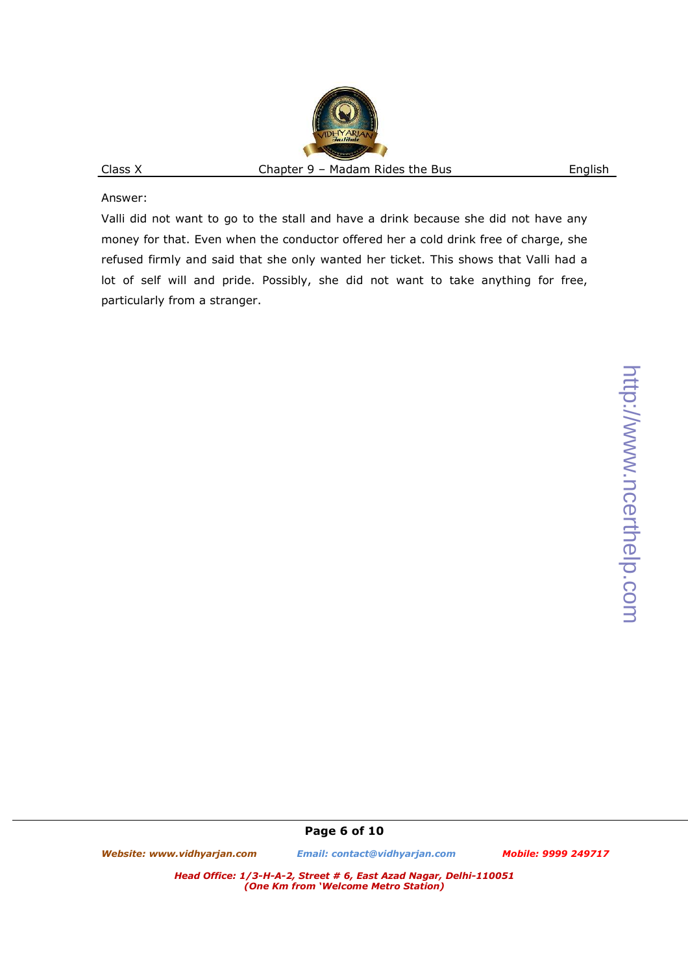Answer:

Valli did not want to go to the stall and have a drink because she did not have any money for that. Even when the conductor offered her a cold drink free of charge, she refused firmly and said that she only wanted her ticket. This shows that Valli had a lot of self will and pride. Possibly, she did not want to take anything for free, particularly from a stranger.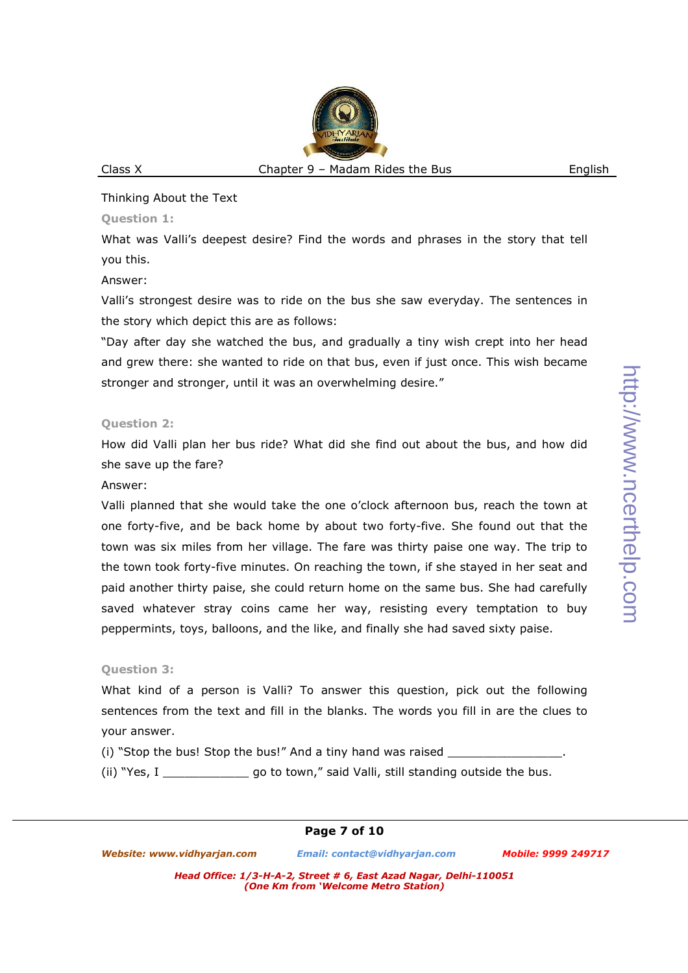#### Thinking About the Text

#### **Question 1:**

What was Valli's deepest desire? Find the words and phrases in the story that tell you this.

Answer:

Valli's strongest desire was to ride on the bus she saw everyday. The sentences in the story which depict this are as follows:

"Day after day she watched the bus, and gradually a tiny wish crept into her head and grew there: she wanted to ride on that bus, even if just once. This wish became stronger and stronger, until it was an overwhelming desire."

## **Question 2:**

How did Valli plan her bus ride? What did she find out about the bus, and how did she save up the fare?

#### Answer:

Valli planned that she would take the one o'clock afternoon bus, reach the town at one forty-five, and be back home by about two forty-five. She found out that the town was six miles from her village. The fare was thirty paise one way. The trip to the town took forty-five minutes. On reaching the town, if she stayed in her seat and paid another thirty paise, she could return home on the same bus. She had carefully saved whatever stray coins came her way, resisting every temptation to buy peppermints, toys, balloons, and the like, and finally she had saved sixty paise.

## **Question 3:**

What kind of a person is Valli? To answer this question, pick out the following sentences from the text and fill in the blanks. The words you fill in are the clues to your answer.

(i) "Stop the bus! Stop the bus!" And a tiny hand was raised  $\qquad \qquad$ .

(ii) "Yes, I \_\_\_\_\_\_\_\_\_\_\_\_ go to town," said Valli, still standing outside the bus.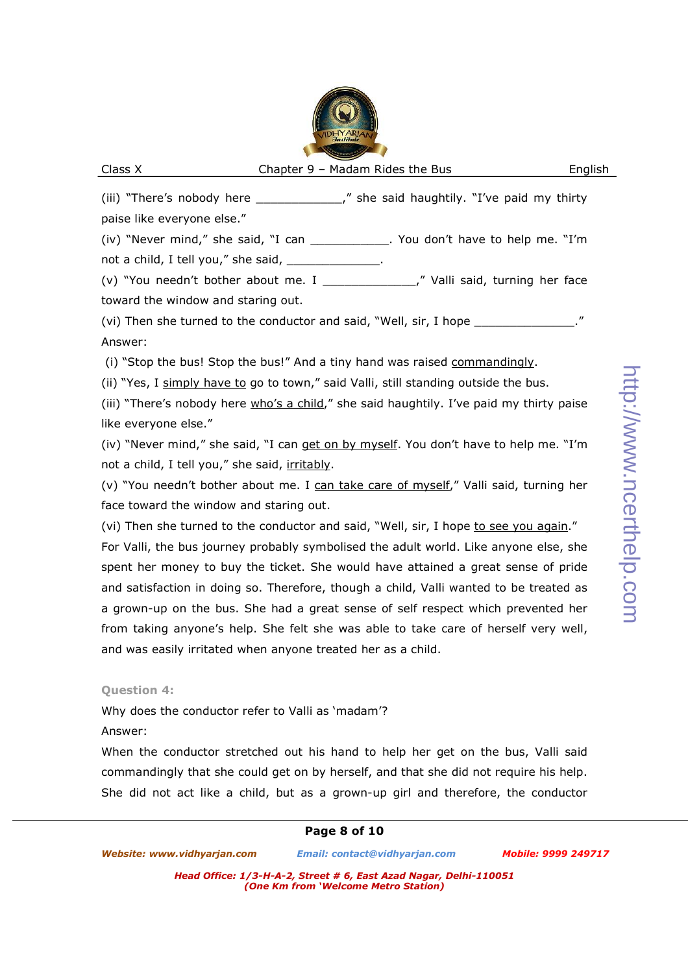(iii) "There's nobody here \_\_\_\_\_\_\_\_\_\_\_\_\_\_," she said haughtily. "I've paid my thirty paise like everyone else."

(iv) "Never mind," she said, "I can \_\_\_\_\_\_\_\_\_\_\_. You don't have to help me. "I'm not a child, I tell you," she said, \_\_\_\_\_\_\_\_\_\_\_\_\_\_.

(v) "You needn't bother about me. I \_\_\_\_\_\_\_\_\_\_\_\_\_," Valli said, turning her face toward the window and staring out.

(vi) Then she turned to the conductor and said, "Well, sir, I hope Answer:

(i) "Stop the bus! Stop the bus!" And a tiny hand was raised commandingly.

(ii) "Yes, I simply have to go to town," said Valli, still standing outside the bus.

(iii) "There's nobody here who's a child," she said haughtily. I've paid my thirty paise like everyone else."

(iv) "Never mind," she said, "I can get on by myself. You don't have to help me. "I'm not a child, I tell you," she said, irritably.

(v) "You needn't bother about me. I can take care of myself," Valli said, turning her face toward the window and staring out.

(vi) Then she turned to the conductor and said, "Well, sir, I hope to see you again." For Valli, the bus journey probably symbolised the adult world. Like anyone else, she spent her money to buy the ticket. She would have attained a great sense of pride and satisfaction in doing so. Therefore, though a child, Valli wanted to be treated as a grown-up on the bus. She had a great sense of self respect which prevented her from taking anyone's help. She felt she was able to take care of herself very well, and was easily irritated when anyone treated her as a child.

#### **Question 4:**

Why does the conductor refer to Valli as 'madam'?

## Answer:

When the conductor stretched out his hand to help her get on the bus, Valli said commandingly that she could get on by herself, and that she did not require his help. She did not act like a child, but as a grown-up girl and therefore, the conductor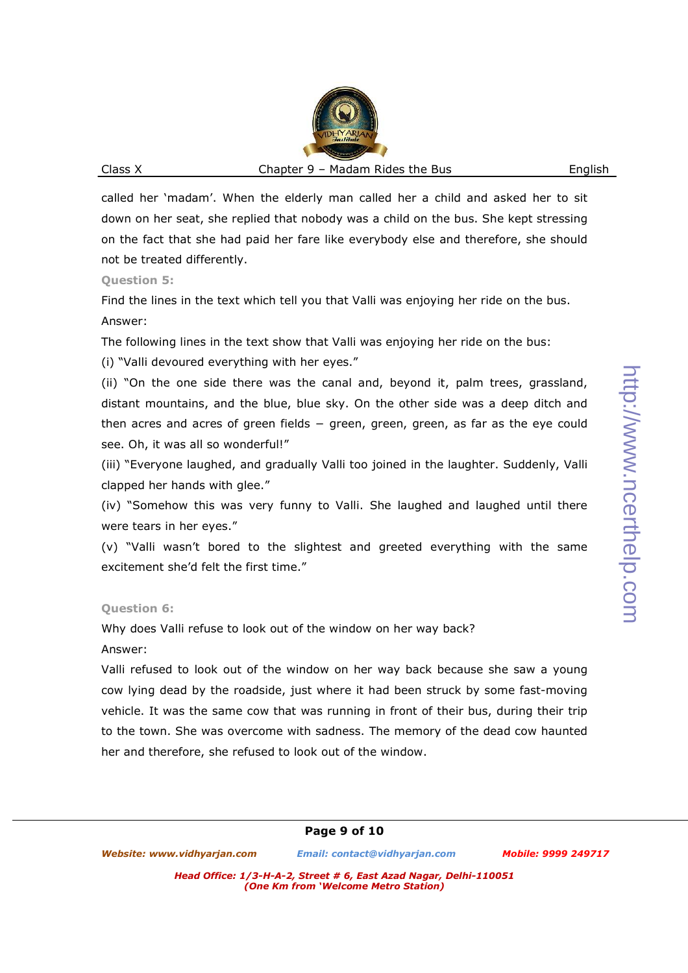called her 'madam'. When the elderly man called her a child and asked her to sit down on her seat, she replied that nobody was a child on the bus. She kept stressing on the fact that she had paid her fare like everybody else and therefore, she should not be treated differently.

**Question 5:** 

Find the lines in the text which tell you that Valli was enjoying her ride on the bus. Answer:

The following lines in the text show that Valli was enjoying her ride on the bus:

(i) "Valli devoured everything with her eyes."

(ii) "On the one side there was the canal and, beyond it, palm trees, grassland, distant mountains, and the blue, blue sky. On the other side was a deep ditch and then acres and acres of green fields − green, green, green, as far as the eye could see. Oh, it was all so wonderful!"

(iii) "Everyone laughed, and gradually Valli too joined in the laughter. Suddenly, Valli clapped her hands with glee."

(iv) "Somehow this was very funny to Valli. She laughed and laughed until there were tears in her eyes."

(v) "Valli wasn't bored to the slightest and greeted everything with the same excitement she'd felt the first time."

#### **Question 6:**

Why does Valli refuse to look out of the window on her way back?

Answer:

Valli refused to look out of the window on her way back because she saw a young cow lying dead by the roadside, just where it had been struck by some fast-moving vehicle. It was the same cow that was running in front of their bus, during their trip to the town. She was overcome with sadness. The memory of the dead cow haunted her and therefore, she refused to look out of the window.